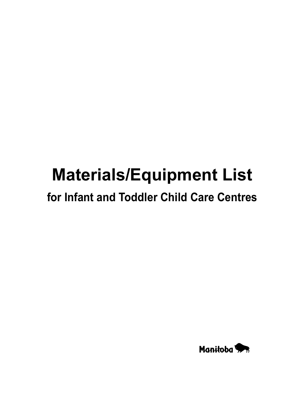# **Materials/Equipment List**

### **for Infant and Toddler Child Care Centres**

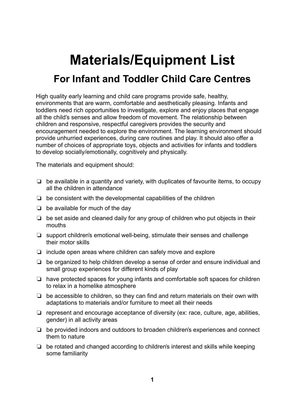## **Materials/Equipment List**

### **For Infant and Toddler Child Care Centres**

High quality early learning and child care programs provide safe, healthy, environments that are warm, comfortable and aesthetically pleasing. Infants and toddlers need rich opportunities to investigate, explore and enjoy places that engage all the child's senses and allow freedom of movement. The relationship between children and responsive, respectful caregivers provides the security and encouragement needed to explore the environment. The learning environment should provide unhurried experiences, during care routines and play. It should also offer a number of choices of appropriate toys, objects and activities for infants and toddlers to develop socially/emotionally, cognitively and physically.

The materials and equipment should:

- $\Box$  be available in a quantity and variety, with duplicates of favourite items, to occupy all the children in attendance
- $\Box$  be consistent with the developmental capabilities of the children
- $\Box$  be available for much of the day
- $\Box$  be set aside and cleaned daily for any group of children who put objects in their mouths
- $\Box$  support children's emotional well-being, stimulate their senses and challenge their motor skills
- $\Box$  include open areas where children can safely move and explore
- $\Box$  be organized to help children develop a sense of order and ensure individual and small group experiences for different kinds of play
- $\Box$  have protected spaces for young infants and comfortable soft spaces for children to relax in a homelike atmosphere
- $\Box$  be accessible to children, so they can find and return materials on their own with adaptations to materials and/or furniture to meet all their needs
- $\Box$  represent and encourage acceptance of diversity (ex: race, culture, age, abilities, gender) in all activity areas
- $\Box$  be provided indoors and outdoors to broaden children's experiences and connect them to nature
- $\Box$  be rotated and changed according to children's interest and skills while keeping some familiarity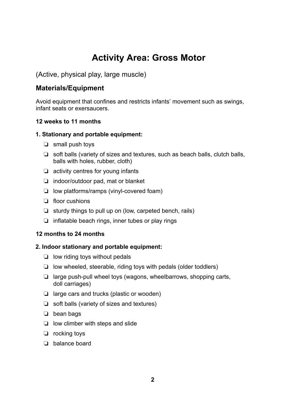### **Activity Area: Gross Motor**

#### (Active, physical play, large muscle)

#### **Materials/Equipment**

Avoid equipment that confines and restricts infants' movement such as swings, infant seats or exersaucers.

#### **12 weeks to 11 months**

#### **1. Stationary and portable equipment:**

- $\Box$  small push toys
- $\Box$  soft balls (variety of sizes and textures, such as beach balls, clutch balls, balls with holes, rubber, cloth)
- $\Box$  activity centres for young infants
- $\Box$  indoor/outdoor pad, mat or blanket
- $\Box$  low platforms/ramps (vinyl-covered foam)
- $\Box$  floor cushions
- $\Box$  sturdy things to pull up on (low, carpeted bench, rails)
- $\Box$  inflatable beach rings, inner tubes or play rings

#### **12 months to 24 months**

#### **2. Indoor stationary and portable equipment:**

- $\Box$  low riding toys without pedals
- $\Box$  low wheeled, steerable, riding toys with pedals (older toddlers)
- $\Box$  large push-pull wheel toys (wagons, wheelbarrows, shopping carts, doll carriages)
- $\Box$  large cars and trucks (plastic or wooden)
- $\Box$  soft balls (variety of sizes and textures)
- $\Box$  bean bags
- $\Box$  low climber with steps and slide
- $\Box$  rocking toys
- $\Box$  balance board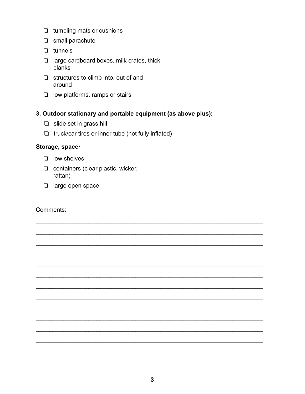- $\Box$  tumbling mats or cushions
- $\Box$  small parachute
- $\Box$  tunnels
- $\Box$  large cardboard boxes, milk crates, thick planks
- $\Box$  structures to climb into, out of and around
- $\Box$  low platforms, ramps or stairs

#### 3. Outdoor stationary and portable equipment (as above plus):

- $\Box$  slide set in grass hill
- $\Box$  truck/car tires or inner tube (not fully inflated)

#### Storage, space:

- $\Box$  low shelves
- $\Box$  containers (clear plastic, wicker, rattan)
- $\Box$  large open space

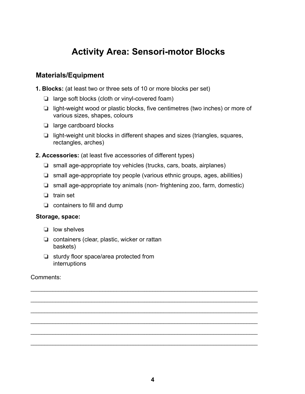### **Activity Area: Sensori-motor Blocks**

#### **Materials/Equipment**

**1. Blocks:** (at least two or three sets of 10 or more blocks per set)

- $\Box$  large soft blocks (cloth or vinyl-covered foam)
- $\Box$  light-weight wood or plastic blocks, five centimetres (two inches) or more of various sizes, shapes, colours
- $\Box$  large cardboard blocks
- $\Box$  light-weight unit blocks in different shapes and sizes (triangles, squares, rectangles, arches)
- **2. Accessories:** (at least five accessories of different types)
	- $\Box$  small age-appropriate toy vehicles (trucks, cars, boats, airplanes)
	- $\Box$  small age-appropriate toy people (various ethnic groups, ages, abilities)
	- $\Box$  small age-appropriate toy animals (non-frightening zoo, farm, domestic)

\_\_\_\_\_\_\_\_\_\_\_\_\_\_\_\_\_\_\_\_\_\_\_\_\_\_\_\_\_\_\_\_\_\_\_\_\_\_\_\_\_\_\_\_\_\_\_\_\_\_\_\_\_\_\_\_\_\_\_\_\_\_\_\_\_\_\_\_\_\_\_\_\_\_\_\_\_\_\_\_\_\_

\_\_\_\_\_\_\_\_\_\_\_\_\_\_\_\_\_\_\_\_\_\_\_\_\_\_\_\_\_\_\_\_\_\_\_\_\_\_\_\_\_\_\_\_\_\_\_\_\_\_\_\_\_\_\_\_\_\_\_\_\_\_\_\_\_\_\_\_\_\_\_\_\_\_\_\_\_\_\_\_\_\_

\_\_\_\_\_\_\_\_\_\_\_\_\_\_\_\_\_\_\_\_\_\_\_\_\_\_\_\_\_\_\_\_\_\_\_\_\_\_\_\_\_\_\_\_\_\_\_\_\_\_\_\_\_\_\_\_\_\_\_\_\_\_\_\_\_\_\_\_\_\_\_\_\_\_\_\_\_\_\_\_\_\_

\_\_\_\_\_\_\_\_\_\_\_\_\_\_\_\_\_\_\_\_\_\_\_\_\_\_\_\_\_\_\_\_\_\_\_\_\_\_\_\_\_\_\_\_\_\_\_\_\_\_\_\_\_\_\_\_\_\_\_\_\_\_\_\_\_\_\_\_\_\_\_\_\_\_\_\_\_\_\_\_\_\_

\_\_\_\_\_\_\_\_\_\_\_\_\_\_\_\_\_\_\_\_\_\_\_\_\_\_\_\_\_\_\_\_\_\_\_\_\_\_\_\_\_\_\_\_\_\_\_\_\_\_\_\_\_\_\_\_\_\_\_\_\_\_\_\_\_\_\_\_\_\_\_\_\_\_\_\_\_\_\_\_\_\_

\_\_\_\_\_\_\_\_\_\_\_\_\_\_\_\_\_\_\_\_\_\_\_\_\_\_\_\_\_\_\_\_\_\_\_\_\_\_\_\_\_\_\_\_\_\_\_\_\_\_\_\_\_\_\_\_\_\_\_\_\_\_\_\_\_\_\_\_\_\_\_\_\_\_\_\_\_\_\_\_\_\_

- $\Box$  train set
- $\Box$  containers to fill and dump

#### **Storage, space:**

- $\Box$  low shelves
- $\Box$  containers (clear, plastic, wicker or rattan baskets)
- $\Box$  sturdy floor space/area protected from interruptions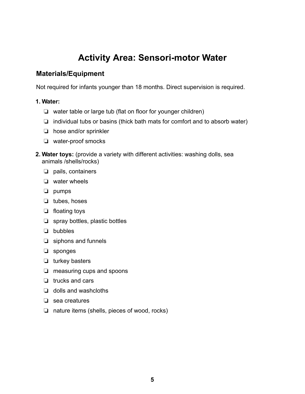### **Activity Area: Sensori-motor Water**

#### **Materials/Equipment**

Not required for infants younger than 18 months. Direct supervision is required.

#### **1. Water:**

- $\Box$  water table or large tub (flat on floor for younger children)
- $\Box$  individual tubs or basins (thick bath mats for comfort and to absorb water)
- $\Box$  hose and/or sprinkler
- $\Box$  water-proof smocks
- **2. Water toys:** (provide a variety with different activities: washing dolls, sea animals /shells/rocks)
	- $\Box$  pails, containers
	- $\Box$  water wheels
	- $\Box$  pumps
	- $\Box$  tubes, hoses
	- $\Box$  floating toys
	- $\Box$  spray bottles, plastic bottles
	- $\Box$  bubbles
	- $\Box$  siphons and funnels
	- $\Box$  sponges
	- $\Box$  turkey basters
	- $\Box$  measuring cups and spoons
	- $\Box$  trucks and cars
	- $\Box$  dolls and washcloths
	- $\Box$  sea creatures
	- $\Box$  nature items (shells, pieces of wood, rocks)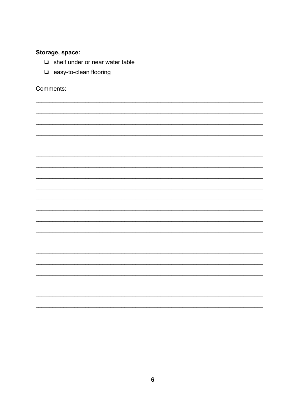#### Storage, space:

- $\Box$  shelf under or near water table
- $\Box$  easy-to-clean flooring

Comments:

 $\overline{\phantom{0}}$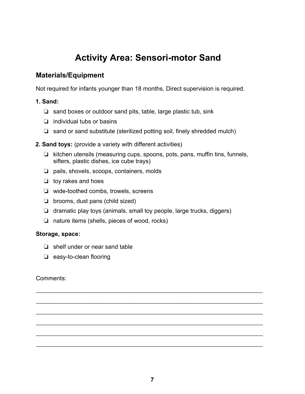### **Activity Area: Sensori-motor Sand**

#### **Materials/Equipment**

Not required for infants younger than 18 months. Direct supervision is required.

#### **1. Sand:**

- $\Box$  sand boxes or outdoor sand pits, table, large plastic tub, sink
- $\Box$  individual tubs or basins
- $\Box$  sand or sand substitute (sterilized potting soil, finely shredded mulch)
- **2. Sand toys:** (provide a variety with different activities)
	- $\Box$  kitchen utensils (measuring cups, spoons, pots, pans, muffin tins, funnels, sifters, plastic dishes, ice cube trays)
	- $\Box$  pails, shovels, scoops, containers, molds
	- $\Box$  toy rakes and hoes
	- $\Box$  wide-toothed combs, trowels, screens
	- $\Box$  brooms, dust pans (child sized)
	- $\Box$  dramatic play toys (animals, small toy people, large trucks, diggers)
	- $\Box$  nature items (shells, pieces of wood, rocks)

#### **Storage, space:**

- $\Box$  shelf under or near sand table
- $\Box$  easy-to-clean flooring

#### Comments:

\_\_\_\_\_\_\_\_\_\_\_\_\_\_\_\_\_\_\_\_\_\_\_\_\_\_\_\_\_\_\_\_\_\_\_\_\_\_\_\_\_\_\_\_\_\_\_\_\_\_\_\_\_\_\_\_\_\_\_\_\_\_\_\_\_\_\_\_\_\_\_\_\_\_\_\_\_\_\_\_\_\_

\_\_\_\_\_\_\_\_\_\_\_\_\_\_\_\_\_\_\_\_\_\_\_\_\_\_\_\_\_\_\_\_\_\_\_\_\_\_\_\_\_\_\_\_\_\_\_\_\_\_\_\_\_\_\_\_\_\_\_\_\_\_\_\_\_\_\_\_\_\_\_\_\_\_\_\_\_\_\_\_\_\_

\_\_\_\_\_\_\_\_\_\_\_\_\_\_\_\_\_\_\_\_\_\_\_\_\_\_\_\_\_\_\_\_\_\_\_\_\_\_\_\_\_\_\_\_\_\_\_\_\_\_\_\_\_\_\_\_\_\_\_\_\_\_\_\_\_\_\_\_\_\_\_\_\_\_\_\_\_\_\_\_\_\_

\_\_\_\_\_\_\_\_\_\_\_\_\_\_\_\_\_\_\_\_\_\_\_\_\_\_\_\_\_\_\_\_\_\_\_\_\_\_\_\_\_\_\_\_\_\_\_\_\_\_\_\_\_\_\_\_\_\_\_\_\_\_\_\_\_\_\_\_\_\_\_\_\_\_\_\_\_\_\_\_\_\_

\_\_\_\_\_\_\_\_\_\_\_\_\_\_\_\_\_\_\_\_\_\_\_\_\_\_\_\_\_\_\_\_\_\_\_\_\_\_\_\_\_\_\_\_\_\_\_\_\_\_\_\_\_\_\_\_\_\_\_\_\_\_\_\_\_\_\_\_\_\_\_\_\_\_\_\_\_\_\_\_\_\_

\_\_\_\_\_\_\_\_\_\_\_\_\_\_\_\_\_\_\_\_\_\_\_\_\_\_\_\_\_\_\_\_\_\_\_\_\_\_\_\_\_\_\_\_\_\_\_\_\_\_\_\_\_\_\_\_\_\_\_\_\_\_\_\_\_\_\_\_\_\_\_\_\_\_\_\_\_\_\_\_\_\_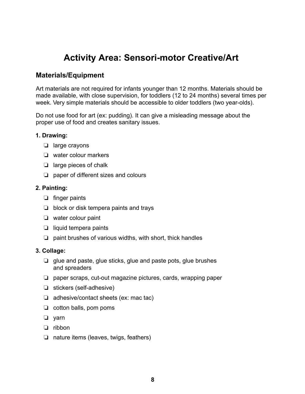### **Activity Area: Sensori-motor Creative/Art**

#### **Materials/Equipment**

Art materials are not required for infants younger than 12 months. Materials should be made available, with close supervision, for toddlers (12 to 24 months) several times per week. Very simple materials should be accessible to older toddlers (two year-olds).

Do not use food for art (ex: pudding). It can give a misleading message about the proper use of food and creates sanitary issues.

#### **1. Drawing:**

- $\Box$  large crayons
- $\Box$  water colour markers
- $\Box$  large pieces of chalk
- $\Box$  paper of different sizes and colours

#### **2. Painting:**

- $\Box$  finger paints
- $\Box$  block or disk tempera paints and trays
- $\Box$  water colour paint
- $\Box$  liquid tempera paints
- $\Box$  paint brushes of various widths, with short, thick handles

#### **3. Collage:**

- $\Box$  glue and paste, glue sticks, glue and paste pots, glue brushes and spreaders
- $\Box$  paper scraps, cut-out magazine pictures, cards, wrapping paper
- $\Box$  stickers (self-adhesive)
- $\Box$  adhesive/contact sheets (ex: mac tac)
- $\Box$  cotton balls, pom poms
- $\Box$  yarn
- $\Box$  ribbon
- $\Box$  nature items (leaves, twigs, feathers)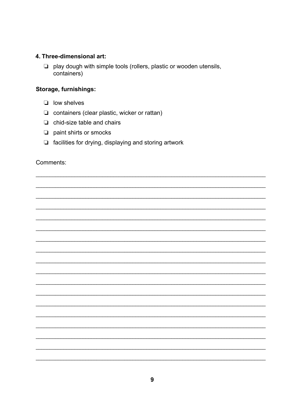#### 4. Three-dimensional art:

 $\Box$  play dough with simple tools (rollers, plastic or wooden utensils, containers)

#### Storage, furnishings:

- $\Box$  low shelves
- containers (clear plastic, wicker or rattan)
- $\Box$  chid-size table and chairs
- $\Box$  paint shirts or smocks
- $\Box$  facilities for drying, displaying and storing artwork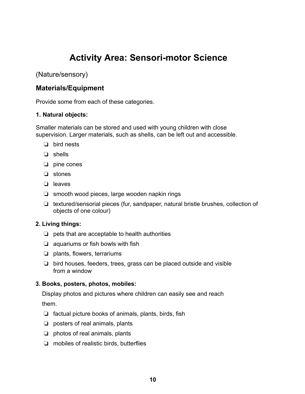### **Activity Area: Sensori-motor Science**

(Nature/sensory)

#### **Materials/Equipment**

Provide some from each of these categories.

#### **1. Natural objects:**

Smaller materials can be stored and used with young children with close supervision. Larger materials, such as shells, can be left out and accessible.

- $\Box$  bird nests
- $\Box$  shells
- $\Box$  pine cones
- $\Box$  stones
- $\Box$  leaves
- $\Box$  smooth wood pieces, large wooden napkin rings
- $\Box$  textured/sensorial pieces (fur, sandpaper, natural bristle brushes, collection of objects of one colour)

#### **2. Living things:**

- $\Box$  pets that are acceptable to health authorities
- $\Box$  aquariums or fish bowls with fish
- $\Box$  plants, flowers, terrariums
- $\Box$  bird houses, feeders, trees, grass can be placed outside and visible from a window

#### **3. Books, posters, photos, mobiles:**

Display photos and pictures where children can easily see and reach

them.

- $\Box$  factual picture books of animals, plants, birds, fish
- $\Box$  posters of real animals, plants
- $\Box$  photos of real animals, plants
- $\Box$  mobiles of realistic birds, butterflies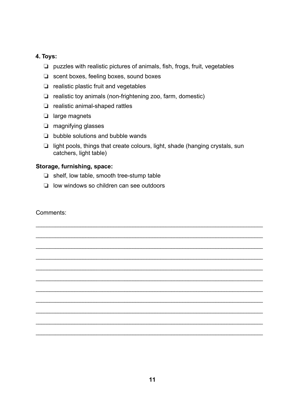#### **4. Toys:**

- $\Box$  puzzles with realistic pictures of animals, fish, frogs, fruit, vegetables
- $\Box$  scent boxes, feeling boxes, sound boxes
- $\Box$  realistic plastic fruit and vegetables
- $\Box$  realistic toy animals (non-frightening zoo, farm, domestic)
- $\Box$  realistic animal-shaped rattles
- $\Box$  large magnets
- $\Box$  magnifying glasses
- $\Box$  bubble solutions and bubble wands
- $\Box$  light pools, things that create colours, light, shade (hanging crystals, sun catchers, light table)

\_\_\_\_\_\_\_\_\_\_\_\_\_\_\_\_\_\_\_\_\_\_\_\_\_\_\_\_\_\_\_\_\_\_\_\_\_\_\_\_\_\_\_\_\_\_\_\_\_\_\_\_\_\_\_\_\_\_\_\_\_\_\_\_\_\_\_\_\_\_\_\_\_\_\_\_\_\_\_\_\_\_

\_\_\_\_\_\_\_\_\_\_\_\_\_\_\_\_\_\_\_\_\_\_\_\_\_\_\_\_\_\_\_\_\_\_\_\_\_\_\_\_\_\_\_\_\_\_\_\_\_\_\_\_\_\_\_\_\_\_\_\_\_\_\_\_\_\_\_\_\_\_\_\_\_\_\_\_\_\_\_\_\_\_

\_\_\_\_\_\_\_\_\_\_\_\_\_\_\_\_\_\_\_\_\_\_\_\_\_\_\_\_\_\_\_\_\_\_\_\_\_\_\_\_\_\_\_\_\_\_\_\_\_\_\_\_\_\_\_\_\_\_\_\_\_\_\_\_\_\_\_\_\_\_\_\_\_\_\_\_\_\_\_\_\_\_

\_\_\_\_\_\_\_\_\_\_\_\_\_\_\_\_\_\_\_\_\_\_\_\_\_\_\_\_\_\_\_\_\_\_\_\_\_\_\_\_\_\_\_\_\_\_\_\_\_\_\_\_\_\_\_\_\_\_\_\_\_\_\_\_\_\_\_\_\_\_\_\_\_\_\_\_\_\_\_\_\_\_

\_\_\_\_\_\_\_\_\_\_\_\_\_\_\_\_\_\_\_\_\_\_\_\_\_\_\_\_\_\_\_\_\_\_\_\_\_\_\_\_\_\_\_\_\_\_\_\_\_\_\_\_\_\_\_\_\_\_\_\_\_\_\_\_\_\_\_\_\_\_\_\_\_\_\_\_\_\_\_\_\_\_

\_\_\_\_\_\_\_\_\_\_\_\_\_\_\_\_\_\_\_\_\_\_\_\_\_\_\_\_\_\_\_\_\_\_\_\_\_\_\_\_\_\_\_\_\_\_\_\_\_\_\_\_\_\_\_\_\_\_\_\_\_\_\_\_\_\_\_\_\_\_\_\_\_\_\_\_\_\_\_\_\_\_

\_\_\_\_\_\_\_\_\_\_\_\_\_\_\_\_\_\_\_\_\_\_\_\_\_\_\_\_\_\_\_\_\_\_\_\_\_\_\_\_\_\_\_\_\_\_\_\_\_\_\_\_\_\_\_\_\_\_\_\_\_\_\_\_\_\_\_\_\_\_\_\_\_\_\_\_\_\_\_\_\_\_

\_\_\_\_\_\_\_\_\_\_\_\_\_\_\_\_\_\_\_\_\_\_\_\_\_\_\_\_\_\_\_\_\_\_\_\_\_\_\_\_\_\_\_\_\_\_\_\_\_\_\_\_\_\_\_\_\_\_\_\_\_\_\_\_\_\_\_\_\_\_\_\_\_\_\_\_\_\_\_\_\_\_

\_\_\_\_\_\_\_\_\_\_\_\_\_\_\_\_\_\_\_\_\_\_\_\_\_\_\_\_\_\_\_\_\_\_\_\_\_\_\_\_\_\_\_\_\_\_\_\_\_\_\_\_\_\_\_\_\_\_\_\_\_\_\_\_\_\_\_\_\_\_\_\_\_\_\_\_\_\_\_\_\_\_

\_\_\_\_\_\_\_\_\_\_\_\_\_\_\_\_\_\_\_\_\_\_\_\_\_\_\_\_\_\_\_\_\_\_\_\_\_\_\_\_\_\_\_\_\_\_\_\_\_\_\_\_\_\_\_\_\_\_\_\_\_\_\_\_\_\_\_\_\_\_\_\_\_\_\_\_\_\_\_\_\_\_

\_\_\_\_\_\_\_\_\_\_\_\_\_\_\_\_\_\_\_\_\_\_\_\_\_\_\_\_\_\_\_\_\_\_\_\_\_\_\_\_\_\_\_\_\_\_\_\_\_\_\_\_\_\_\_\_\_\_\_\_\_\_\_\_\_\_\_\_\_\_\_\_\_\_\_\_\_\_\_\_\_\_

#### **Storage, furnishing, space:**

- $\Box$  shelf, low table, smooth tree-stump table
- $\Box$  low windows so children can see outdoors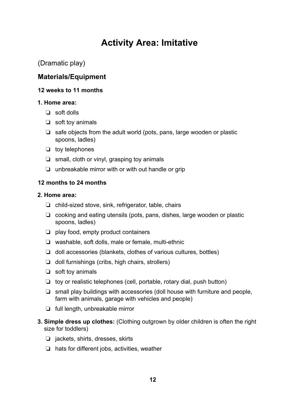### **Activity Area: Imitative**

#### (Dramatic play)

#### **Materials/Equipment**

#### **12 weeks to 11 months**

#### **1. Home area:**

- $\Box$  soft dolls
- $\Box$  soft toy animals
- $\Box$  safe objects from the adult world (pots, pans, large wooden or plastic spoons, ladles)
- $\Box$  toy telephones
- $\Box$  small, cloth or vinyl, grasping toy animals
- $\Box$  unbreakable mirror with or with out handle or grip

#### **12 months to 24 months**

#### **2. Home area:**

- $\Box$  child-sized stove, sink, refrigerator, table, chairs
- $\Box$  cooking and eating utensils (pots, pans, dishes, large wooden or plastic spoons, ladles)
- $\Box$  play food, empty product containers
- $\Box$  washable, soft dolls, male or female, multi-ethnic
- $\Box$  doll accessories (blankets, clothes of various cultures, bottles)
- $\Box$  doll furnishings (cribs, high chairs, strollers)
- $\Box$  soft toy animals
- $\Box$  toy or realistic telephones (cell, portable, rotary dial, push button)
- $\Box$  small play buildings with accessories (doll house with furniture and people, farm with animals, garage with vehicles and people)
- $\Box$  full length, unbreakable mirror
- **3. Simple dress up clothes:** (Clothing outgrown by older children is often the right size for toddlers)
	- $\Box$  jackets, shirts, dresses, skirts
	- $\Box$  hats for different jobs, activities, weather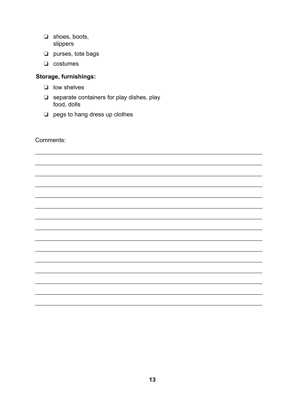- $\Box$  shoes, boots, slippers
- $\Box$  purses, tote bags
- $\Box$  costumes

#### Storage, furnishings:

- $\Box$  low shelves
- $\Box$  separate containers for play dishes, play food, dolls
- $\Box$  pegs to hang dress up clothes

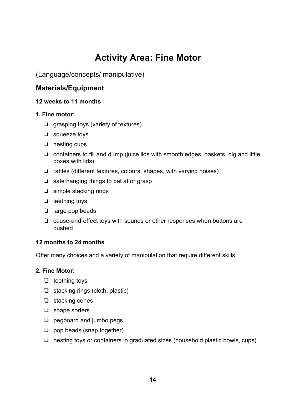### **Activity Area: Fine Motor**

(Language/concepts/ manipulative)

#### **Materials/Equipment**

#### **12 weeks to 11 months**

#### **1. Fine motor:**

- $\Box$  grasping toys (variety of textures)
- $\Box$  squeeze toys
- $\Box$  nesting cups
- $\Box$  containers to fill and dump (juice lids with smooth edges, baskets, big and little boxes with lids)
- $\Box$  rattles (different textures, colours, shapes, with varying noises)
- $\Box$  safe hanging things to bat at or grasp
- $\Box$  simple stacking rings
- $\Box$  teething toys
- $\Box$  large pop beads
- $\Box$  cause-and-effect toys with sounds or other responses when buttons are pushed

#### **12 months to 24 months**

Offer many choices and a variety of manipulation that require different skills.

#### **2. Fine Motor:**

- $\Box$  teething toys
- $\Box$  stacking rings (cloth, plastic)
- $\Box$  stacking cones
- $\Box$  shape sorters
- $\Box$  pegboard and jumbo pegs
- $\Box$  pop beads (snap together)
- $\Box$  nesting toys or containers in graduated sizes (household plastic bowls, cups)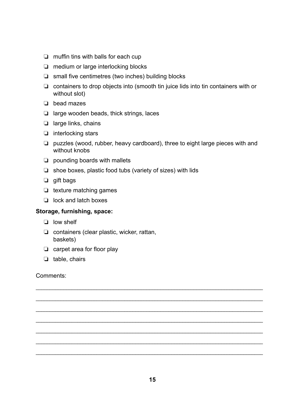- $\Box$  muffin tins with balls for each cup
- $\Box$  medium or large interlocking blocks
- $\Box$  small five centimetres (two inches) building blocks
- $\Box$  containers to drop objects into (smooth tin juice lids into tin containers with or without slot)
- $\Box$  bead mazes
- $\Box$  large wooden beads, thick strings, laces
- $\Box$  large links, chains
- $\Box$  interlocking stars
- $\Box$  puzzles (wood, rubber, heavy cardboard), three to eight large pieces with and without knobs
- $\Box$  pounding boards with mallets
- $\Box$  shoe boxes, plastic food tubs (variety of sizes) with lids
- $\Box$  gift bags
- $\Box$  texture matching games
- $\Box$  lock and latch boxes

#### **Storage, furnishing, space:**

- $\Box$  low shelf
- $\Box$  containers (clear plastic, wicker, rattan, baskets)
- $\Box$  carpet area for floor play
- $\Box$  table, chairs

Comments:

\_\_\_\_\_\_\_\_\_\_\_\_\_\_\_\_\_\_\_\_\_\_\_\_\_\_\_\_\_\_\_\_\_\_\_\_\_\_\_\_\_\_\_\_\_\_\_\_\_\_\_\_\_\_\_\_\_\_\_\_\_\_\_\_\_\_\_\_\_\_\_\_\_\_\_\_\_\_\_\_\_\_

\_\_\_\_\_\_\_\_\_\_\_\_\_\_\_\_\_\_\_\_\_\_\_\_\_\_\_\_\_\_\_\_\_\_\_\_\_\_\_\_\_\_\_\_\_\_\_\_\_\_\_\_\_\_\_\_\_\_\_\_\_\_\_\_\_\_\_\_\_\_\_\_\_\_\_\_\_\_\_\_\_\_

\_\_\_\_\_\_\_\_\_\_\_\_\_\_\_\_\_\_\_\_\_\_\_\_\_\_\_\_\_\_\_\_\_\_\_\_\_\_\_\_\_\_\_\_\_\_\_\_\_\_\_\_\_\_\_\_\_\_\_\_\_\_\_\_\_\_\_\_\_\_\_\_\_\_\_\_\_\_\_\_\_\_

\_\_\_\_\_\_\_\_\_\_\_\_\_\_\_\_\_\_\_\_\_\_\_\_\_\_\_\_\_\_\_\_\_\_\_\_\_\_\_\_\_\_\_\_\_\_\_\_\_\_\_\_\_\_\_\_\_\_\_\_\_\_\_\_\_\_\_\_\_\_\_\_\_\_\_\_\_\_\_\_\_\_

\_\_\_\_\_\_\_\_\_\_\_\_\_\_\_\_\_\_\_\_\_\_\_\_\_\_\_\_\_\_\_\_\_\_\_\_\_\_\_\_\_\_\_\_\_\_\_\_\_\_\_\_\_\_\_\_\_\_\_\_\_\_\_\_\_\_\_\_\_\_\_\_\_\_\_\_\_\_\_\_\_\_

\_\_\_\_\_\_\_\_\_\_\_\_\_\_\_\_\_\_\_\_\_\_\_\_\_\_\_\_\_\_\_\_\_\_\_\_\_\_\_\_\_\_\_\_\_\_\_\_\_\_\_\_\_\_\_\_\_\_\_\_\_\_\_\_\_\_\_\_\_\_\_\_\_\_\_\_\_\_\_\_\_\_

\_\_\_\_\_\_\_\_\_\_\_\_\_\_\_\_\_\_\_\_\_\_\_\_\_\_\_\_\_\_\_\_\_\_\_\_\_\_\_\_\_\_\_\_\_\_\_\_\_\_\_\_\_\_\_\_\_\_\_\_\_\_\_\_\_\_\_\_\_\_\_\_\_\_\_\_\_\_\_\_\_\_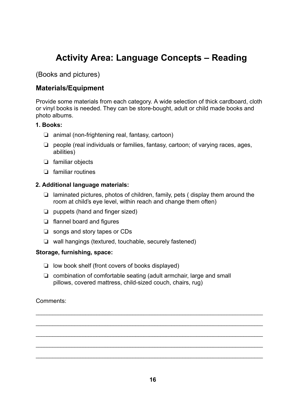### **Activity Area: Language Concepts – Reading**

(Books and pictures)

#### **Materials/Equipment**

Provide some materials from each category. A wide selection of thick cardboard, cloth or vinyl books is needed. They can be store-bought, adult or child made books and photo albums.

#### **1. Books:**

- $\Box$  animal (non-frightening real, fantasy, cartoon)
- $\Box$  people (real individuals or families, fantasy, cartoon; of varying races, ages, abilities)
- $\Box$  familiar objects
- $\Box$  familiar routines

#### **2. Additional language materials:**

- $\Box$  laminated pictures, photos of children, family, pets ( display them around the room at child's eye level, within reach and change them often)
- $\Box$  puppets (hand and finger sized)
- $\Box$  flannel board and figures
- $\Box$  songs and story tapes or CDs
- $\Box$  wall hangings (textured, touchable, securely fastened)

#### **Storage, furnishing, space:**

- $\Box$  low book shelf (front covers of books displayed)
- $\Box$  combination of comfortable seating (adult armchair, large and small pillows, covered mattress, child-sized couch, chairs, rug)

#### Comments:

\_\_\_\_\_\_\_\_\_\_\_\_\_\_\_\_\_\_\_\_\_\_\_\_\_\_\_\_\_\_\_\_\_\_\_\_\_\_\_\_\_\_\_\_\_\_\_\_\_\_\_\_\_\_\_\_\_\_\_\_\_\_\_\_\_\_\_\_\_\_\_\_\_\_\_\_\_\_\_\_\_\_

\_\_\_\_\_\_\_\_\_\_\_\_\_\_\_\_\_\_\_\_\_\_\_\_\_\_\_\_\_\_\_\_\_\_\_\_\_\_\_\_\_\_\_\_\_\_\_\_\_\_\_\_\_\_\_\_\_\_\_\_\_\_\_\_\_\_\_\_\_\_\_\_\_\_\_\_\_\_\_\_\_\_

\_\_\_\_\_\_\_\_\_\_\_\_\_\_\_\_\_\_\_\_\_\_\_\_\_\_\_\_\_\_\_\_\_\_\_\_\_\_\_\_\_\_\_\_\_\_\_\_\_\_\_\_\_\_\_\_\_\_\_\_\_\_\_\_\_\_\_\_\_\_\_\_\_\_\_\_\_\_\_\_\_\_

\_\_\_\_\_\_\_\_\_\_\_\_\_\_\_\_\_\_\_\_\_\_\_\_\_\_\_\_\_\_\_\_\_\_\_\_\_\_\_\_\_\_\_\_\_\_\_\_\_\_\_\_\_\_\_\_\_\_\_\_\_\_\_\_\_\_\_\_\_\_\_\_\_\_\_\_\_\_\_\_\_\_

\_\_\_\_\_\_\_\_\_\_\_\_\_\_\_\_\_\_\_\_\_\_\_\_\_\_\_\_\_\_\_\_\_\_\_\_\_\_\_\_\_\_\_\_\_\_\_\_\_\_\_\_\_\_\_\_\_\_\_\_\_\_\_\_\_\_\_\_\_\_\_\_\_\_\_\_\_\_\_\_\_\_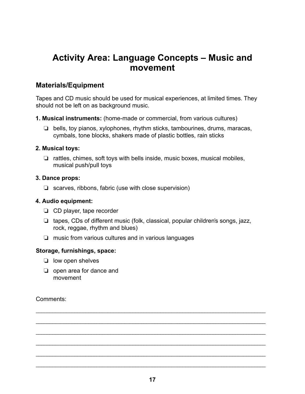### **Activity Area: Language Concepts – Music and movement**

#### **Materials/Equipment**

Tapes and CD music should be used for musical experiences, at limited times. They should not be left on as background music.

- **1. Musical instruments:** (home-made or commercial, from various cultures)
	- $\Box$  bells, toy pianos, xylophones, rhythm sticks, tambourines, drums, maracas, cymbals, tone blocks, shakers made of plastic bottles, rain sticks

#### **2. Musical toys:**

 $\Box$  rattles, chimes, soft toys with bells inside, music boxes, musical mobiles, musical push/pull toys

#### **3. Dance props:**

 $\Box$  scarves, ribbons, fabric (use with close supervision)

#### **4. Audio equipment:**

- $\Box$  CD player, tape recorder
- $\Box$  tapes, CDs of different music (folk, classical, popular children's songs, jazz, rock, reggae, rhythm and blues)
- $\Box$  music from various cultures and in various languages

#### **Storage, furnishings, space:**

- $\Box$  low open shelves
- $\Box$  open area for dance and movement

Comments:

\_\_\_\_\_\_\_\_\_\_\_\_\_\_\_\_\_\_\_\_\_\_\_\_\_\_\_\_\_\_\_\_\_\_\_\_\_\_\_\_\_\_\_\_\_\_\_\_\_\_\_\_\_\_\_\_\_\_\_\_\_\_\_\_\_\_\_\_\_\_\_\_\_\_\_\_\_\_\_\_\_\_\_

\_\_\_\_\_\_\_\_\_\_\_\_\_\_\_\_\_\_\_\_\_\_\_\_\_\_\_\_\_\_\_\_\_\_\_\_\_\_\_\_\_\_\_\_\_\_\_\_\_\_\_\_\_\_\_\_\_\_\_\_\_\_\_\_\_\_\_\_\_\_\_\_\_\_\_\_\_\_\_\_\_\_\_

\_\_\_\_\_\_\_\_\_\_\_\_\_\_\_\_\_\_\_\_\_\_\_\_\_\_\_\_\_\_\_\_\_\_\_\_\_\_\_\_\_\_\_\_\_\_\_\_\_\_\_\_\_\_\_\_\_\_\_\_\_\_\_\_\_\_\_\_\_\_\_\_\_\_\_\_\_\_\_\_\_\_\_

\_\_\_\_\_\_\_\_\_\_\_\_\_\_\_\_\_\_\_\_\_\_\_\_\_\_\_\_\_\_\_\_\_\_\_\_\_\_\_\_\_\_\_\_\_\_\_\_\_\_\_\_\_\_\_\_\_\_\_\_\_\_\_\_\_\_\_\_\_\_\_\_\_\_\_\_\_\_\_\_\_\_\_

\_\_\_\_\_\_\_\_\_\_\_\_\_\_\_\_\_\_\_\_\_\_\_\_\_\_\_\_\_\_\_\_\_\_\_\_\_\_\_\_\_\_\_\_\_\_\_\_\_\_\_\_\_\_\_\_\_\_\_\_\_\_\_\_\_\_\_\_\_\_\_\_\_\_\_\_\_\_\_\_\_\_\_

\_\_\_\_\_\_\_\_\_\_\_\_\_\_\_\_\_\_\_\_\_\_\_\_\_\_\_\_\_\_\_\_\_\_\_\_\_\_\_\_\_\_\_\_\_\_\_\_\_\_\_\_\_\_\_\_\_\_\_\_\_\_\_\_\_\_\_\_\_\_\_\_\_\_\_\_\_\_\_\_\_\_\_